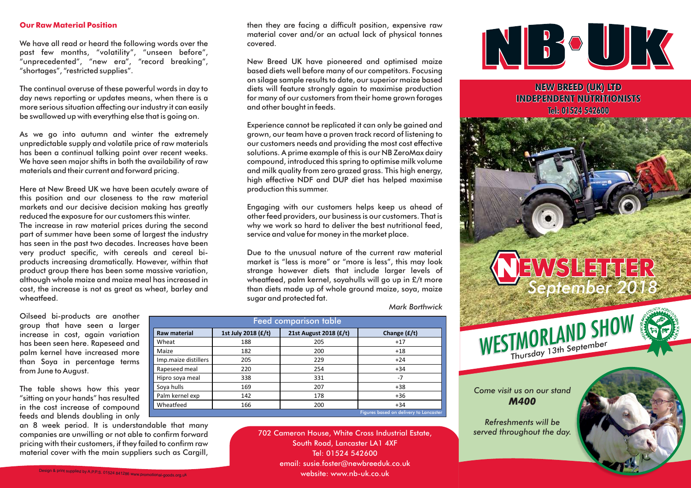## **Our Raw Material Position**

We have all read or heard the following words over the pas<sup>t</sup> few months, "volatility", "unseen before", "unprecedented", "new era", "record breaking", "shortages", "restricted supplies".

The continual overuse of these powerful words in day to day news reporting or updates means, when there is <sup>a</sup> more serious situation affecting our industry it can easilybe swallowed up with everything else that is going on.

As we go into autumn and winter the extremely unpredictable supply and volatile price of raw materials has been <sup>a</sup> continual talking point over recent weeks. We have seen major shifts in both the availability of raw materials and their current and forward pricing.

Here at New Breed UK we have been acutely aware of this position and our closeness to the raw material markets and our decisive decision making has greatlyreduced the exposure for our customers this winter. The increase in raw material prices during the second par<sup>t</sup> of summer have been some of largest the industry has seen in the pas<sup>t</sup> two decades. Increases have been very product specific, with cereals and cereal biproducts increasing dramatically. However, within that product group there has been some massive variation, although whole maize and maize meal has increased incost, the increase is not as grea<sup>t</sup> as wheat, barley and

Oilseed bi-products are another group that have seen <sup>a</sup> larger increase in cost, again variation has been seen here. Rapeseed and palm kernel have increased more than Soya in percentage termsfrom June to August.

wheatfeed.

The table shows how this year "sitting on your hands" has resulted in the cost increase of compoundfeeds and blends doubling in only

 an <sup>8</sup> week period. It is understandable that many companies are unwilling or not able to confirm forward pricing with their customers, if they failed to confirm rawmaterial cover with the main suppliers such as Cargill, then they are facing <sup>a</sup> difficult position, expensive raw material cover and/or an actual lack of <sup>p</sup>hysical tonnescovered.

New Breed UK have <sup>p</sup>ioneered and optimised maize based diets well before many of our competitors. Focusing on silage sample results to date, our superior maize based diets will feature strongly again to maximise production for many of our customers from their home grown foragesand other bought in feeds.

Experience cannot be replicated it can only be gained and grown, our team have <sup>a</sup> proven track record of listening to our customers needs and providing the most cost effective solutions. <sup>A</sup> prime example of this is our NB ZeroMax dairy compound, introduced this spring to optimise milk volume and milk quality from zero grazed grass. This high energy, high effective NDF and DUP diet has helped maximiseproduction this summer.

Engaging with our customers helps keep us ahead of other feed providers, our business is our customers. That is why we work so hard to deliver the best nutritional feed, service and value for money in the market <sup>p</sup>lace.

Due to the unusual nature of the current raw material market is "less is more" or "more is less", this may look strange however diets that include larger levels of wheatfeed, palm kernel, soyahulls will go up in £/t more than diets made up of whole ground maize, soya, maizesugar and protected fat.

*Mark Borthwick*

| <b>Feed comparison table</b> |                     |                        |                                        |
|------------------------------|---------------------|------------------------|----------------------------------------|
| <b>Raw material</b>          | 1st July 2018 (£/t) | 21st August 2018 (£/t) | Change $(f/t)$                         |
| Wheat                        | 188                 | 205                    | $+17$                                  |
| Maize                        | 182                 | 200                    | $+18$                                  |
| Imp.maize distillers         | 205                 | 229                    | $+24$                                  |
| Rapeseed meal                | 220                 | 254                    | $+34$                                  |
| Hipro soya meal              | 338                 | 331                    | $-7$                                   |
| Soya hulls                   | 169                 | 207                    | $+38$                                  |
| Palm kernel exp              | 142                 | 178                    | $+36$                                  |
| Wheatfeed                    | 166                 | 200                    | $+34$                                  |
|                              |                     |                        | Figures based on delivery to Lancaster |

702 Cameron House, White Cross Industrial Estate,South Road, Lancaster LA1 4XFTel: 01524 542600email: susie.foster@newbreeduk.co.uk website:www.nb-uk.co.uk



**NEW BREED (UK) LTD INDEPENDENT NUTRITIONISTSTel: 01524 542600**

## NEWSLETTER *September 2018*

WESTMORLAND SHOW

Thursday 13th September

*Come visit us on our standM400*

*Refreshments will beserved throughout the day.*